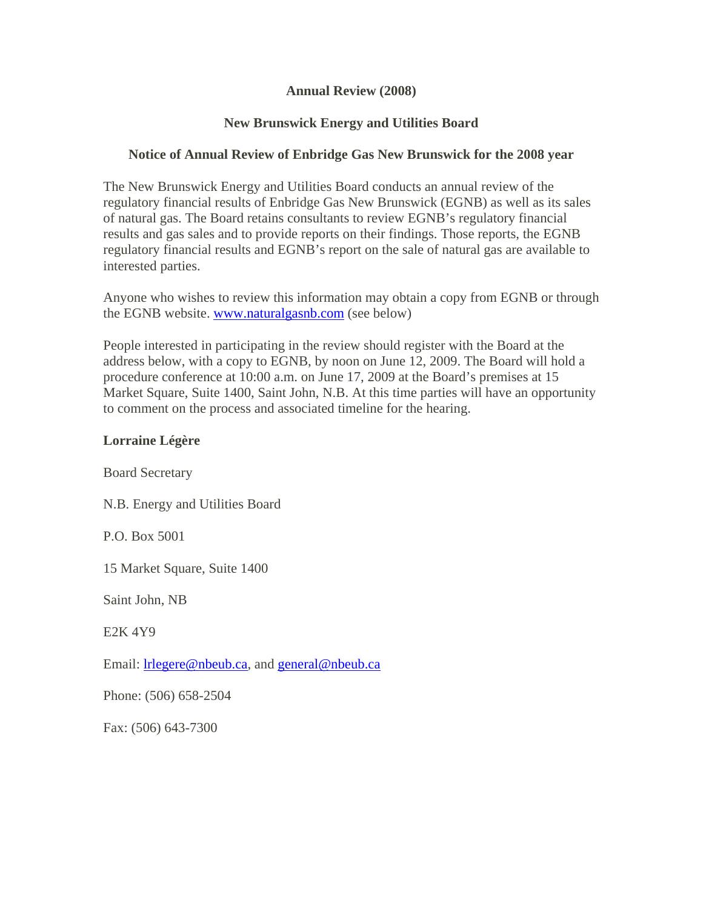#### **Annual Review (2008)**

## **New Brunswick Energy and Utilities Board**

## **Notice of Annual Review of Enbridge Gas New Brunswick for the 2008 year**

The New Brunswick Energy and Utilities Board conducts an annual review of the regulatory financial results of Enbridge Gas New Brunswick (EGNB) as well as its sales of natural gas. The Board retains consultants to review EGNB's regulatory financial results and gas sales and to provide reports on their findings. Those reports, the EGNB regulatory financial results and EGNB's report on the sale of natural gas are available to interested parties.

Anyone who wishes to review this information may obtain a copy from EGNB or through the EGNB website. www.naturalgasnb.com (see below)

People interested in participating in the review should register with the Board at the address below, with a copy to EGNB, by noon on June 12, 2009. The Board will hold a procedure conference at 10:00 a.m. on June 17, 2009 at the Board's premises at 15 Market Square, Suite 1400, Saint John, N.B. At this time parties will have an opportunity to comment on the process and associated timeline for the hearing.

### **Lorraine Légère**

Board Secretary

N.B. Energy and Utilities Board

P.O. Box 5001

15 Market Square, Suite 1400

Saint John, NB

E2K 4Y9

Email: **lrlegere@nbeub.ca**, and **general@nbeub.ca** 

Phone: (506) 658-2504

Fax: (506) 643-7300